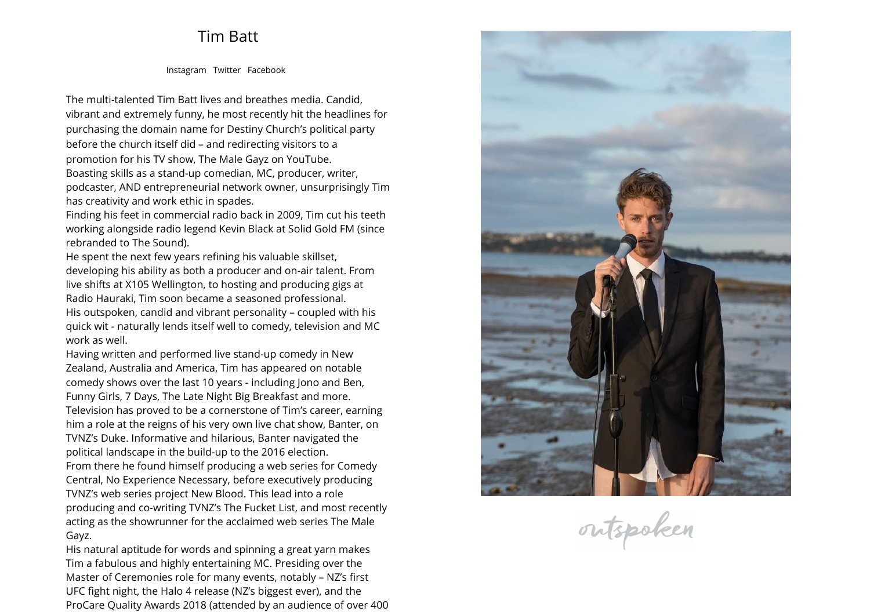## **Tim Batt**

**[Instagram](https://www.instagram.com/timbattnz) [Twitter](https://twitter.com/Tim_Batt?lang=en) [Facebook](https://www.facebook.com/timbattnz)**

**The multi-talented Tim Batt lives and breathes media. Candid, vibrant and extremely funny, he most recently hit the headlines for purchasing the domain name for Destiny Church's political party before the church itself did – and redirecting visitors to <sup>a</sup> promotion for his TV show, The Male Gayz on YouTube. Boasting skills as <sup>a</sup> stand-up comedian, MC, producer, writer, podcaster, AND entrepreneurial network owner, unsurprisingly Timhas creativity and work ethic in spades.**

**Finding his feet in commercial radio back in 2009, Tim cut his teeth working alongside radio legend Kevin Black at Solid Gold FM (since rebranded to The Sound).**

**He spent the next few years refining his valuable skillset, developing his ability as both <sup>a</sup> producer and on-air talent. From live shifts at X105 Wellington, to hosting and producing <sup>g</sup>igs at Radio Hauraki, Tim soon became <sup>a</sup> seasoned professional. His outspoken, candid and vibrant personality – coupled with his quick wit - naturally lends itself well to comedy, television and MCwork as well.**

**Having written and performed live stand-up comedy in New Zealand, Australia and America, Tim has appeared on notable comedy shows over the last <sup>10</sup> years - including Jono and Ben, Funny Girls, <sup>7</sup> Days, The Late Night Big Breakfast and more. Television has proved to be <sup>a</sup> cornerstone of Tim's career, earning him <sup>a</sup> role at the reigns of his very own live chat show, Banter, on TVNZ's Duke. Informative and hilarious, Banter navigated the political landscape in the build-up to the <sup>2016</sup> election. From there he found himself producing <sup>a</sup> web series for Comedy Central, No Experience Necessary, before executively producing TVNZ's web series project New Blood. This lead into <sup>a</sup> role producing and co-writing TVNZ's The Fucket List, and most recently acting as the showrunner for the acclaimed web series The Male Gayz.**

**His natural aptitude for words and spinning <sup>a</sup> great yarn makes Tim <sup>a</sup> fabulous and highly entertaining MC. Presiding over the Master of Ceremonies role for many events, notably – NZ's first UFC fight night, the Halo <sup>4</sup> release (NZ's biggest ever), and the ProCare Quality Awards <sup>2018</sup> (attended by an audience of over <sup>400</sup>**



outspoken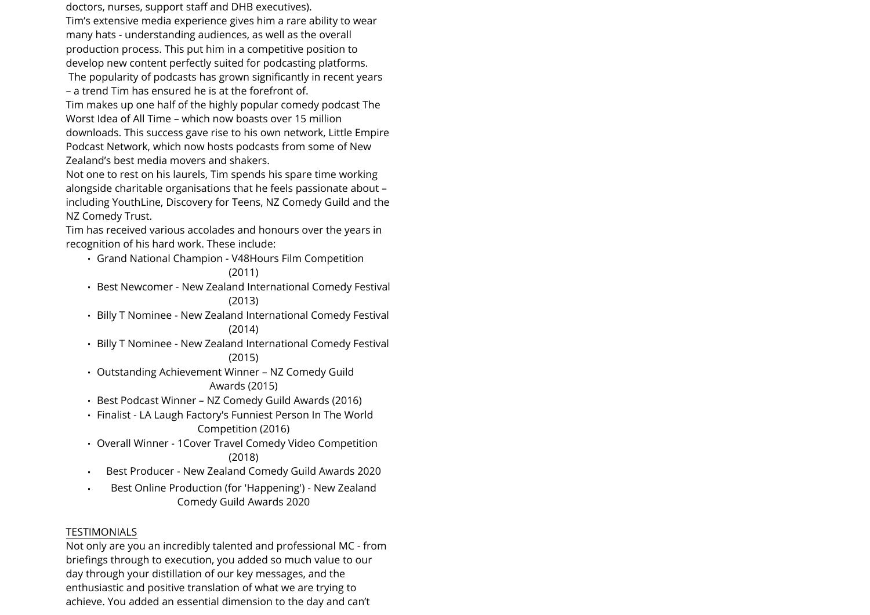**doctors, nurses, support staff and DHB executives).**

**Tim's extensive media experience <sup>g</sup>ives him <sup>a</sup> rare ability to wear many hats - understanding audiences, as well as the overall production process. This put him in <sup>a</sup> competitive position to develop new content perfectly suited for podcasting <sup>p</sup>latforms.**

 **The popularity of podcasts has grown significantly in recent years – <sup>a</sup> trend Tim has ensured he is at the forefront of.** 

**Tim makes up one half of the highly popular comedy podcast The Worst Idea of All Time – which now boasts over <sup>15</sup> million downloads. This success gave rise to his own network, Little Empire Podcast Network, which now hosts podcasts from some of New Zealand's best media movers and shakers.**

**Not one to rest on his laurels, Tim spends his spare time working alongside charitable organisations that he feels passionate about – including YouthLine, Discovery for Teens, NZ Comedy Guild and the NZ Comedy Trust.** 

**Tim has received various accolades and honours over the years in recognition of his hard work. These include:**

**• Grand National Champion - V48Hours Film Competition**

## **(2011)**

- **• Best Newcomer - New Zealand International Comedy Festival (2013)**
- **• Billy <sup>T</sup> Nominee - New Zealand International Comedy Festival (2014)**
- **• Billy <sup>T</sup> Nominee - New Zealand International Comedy Festival (2015)**
- **• Outstanding Achievement Winner – NZ Comedy GuildAwards (2015)**
- **• Best Podcast Winner – NZ Comedy Guild Awards (2016)**
- **• Finalist - LA Laugh Factory's Funniest Person In The World Competition (2016)**
- **• Overall Winner - 1Cover Travel Comedy Video Competition(2018)**
- **•Best Producer - New Zealand Comedy Guild Awards <sup>2020</sup>**
- **Best Online Production (for 'Happening') - New Zealand Comedy Guild Awards <sup>2020</sup>**

## **TESTIMONIALS**

**•**

 **Not only are you an incredibly talented and professional MC - frombriefings through to execution, you added so much value to our day through your distillation of our key messages, and the enthusiastic and positive translation of what we are trying to achieve. You added an essential dimension to the day and can't**